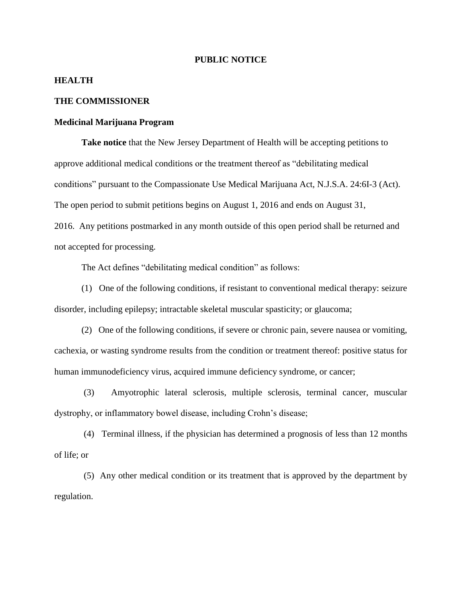## **PUBLIC NOTICE**

## **HEALTH**

## **THE COMMISSIONER**

## **Medicinal Marijuana Program**

**Take notice** that the New Jersey Department of Health will be accepting petitions to approve additional medical conditions or the treatment thereof as "debilitating medical conditions" pursuant to the Compassionate Use Medical Marijuana Act, N.J.S.A. 24:6I-3 (Act). The open period to submit petitions begins on August 1, 2016 and ends on August 31, 2016. Any petitions postmarked in any month outside of this open period shall be returned and not accepted for processing.

The Act defines "debilitating medical condition" as follows:

(1) One of the following conditions, if resistant to conventional medical therapy: seizure disorder, including epilepsy; intractable skeletal muscular spasticity; or glaucoma;

(2) One of the following conditions, if severe or chronic pain, severe nausea or vomiting, cachexia, or wasting syndrome results from the condition or treatment thereof: positive status for human immunodeficiency virus, acquired immune deficiency syndrome, or cancer;

(3) Amyotrophic lateral sclerosis, multiple sclerosis, terminal cancer, muscular dystrophy, or inflammatory bowel disease, including Crohn's disease;

(4) Terminal illness, if the physician has determined a prognosis of less than 12 months of life; or

(5) Any other medical condition or its treatment that is approved by the department by regulation.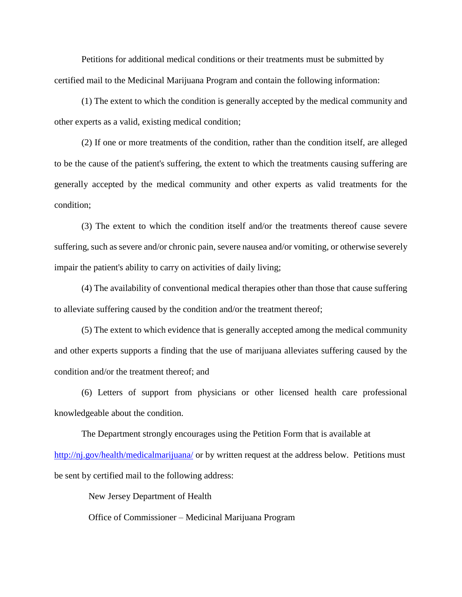Petitions for additional medical conditions or their treatments must be submitted by certified mail to the Medicinal Marijuana Program and contain the following information:

(1) The extent to which the condition is generally accepted by the medical community and other experts as a valid, existing medical condition;

(2) If one or more treatments of the condition, rather than the condition itself, are alleged to be the cause of the patient's suffering, the extent to which the treatments causing suffering are generally accepted by the medical community and other experts as valid treatments for the condition;

(3) The extent to which the condition itself and/or the treatments thereof cause severe suffering, such as severe and/or chronic pain, severe nausea and/or vomiting, or otherwise severely impair the patient's ability to carry on activities of daily living;

(4) The availability of conventional medical therapies other than those that cause suffering to alleviate suffering caused by the condition and/or the treatment thereof;

(5) The extent to which evidence that is generally accepted among the medical community and other experts supports a finding that the use of marijuana alleviates suffering caused by the condition and/or the treatment thereof; and

(6) Letters of support from physicians or other licensed health care professional knowledgeable about the condition.

The Department strongly encourages using the Petition Form that is available at <http://nj.gov/health/medicalmarijuana/> or by written request at the address below. Petitions must be sent by certified mail to the following address:

New Jersey Department of Health

Office of Commissioner – Medicinal Marijuana Program